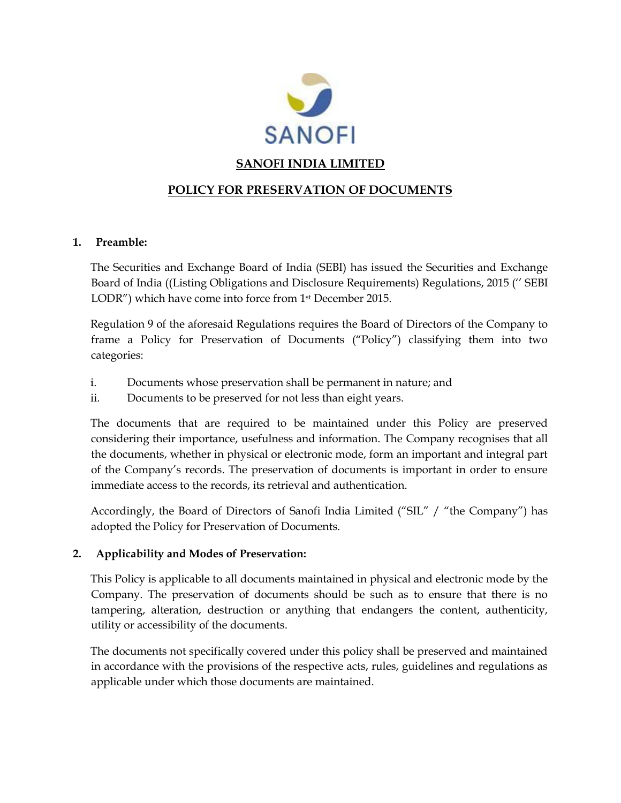

# **SANOFI INDIA LIMITED**

# **POLICY FOR PRESERVATION OF DOCUMENTS**

#### **1. Preamble:**

The Securities and Exchange Board of India (SEBI) has issued the Securities and Exchange Board of India ((Listing Obligations and Disclosure Requirements) Regulations, 2015 ('' SEBI LODR") which have come into force from 1<sup>st</sup> December 2015.

Regulation 9 of the aforesaid Regulations requires the Board of Directors of the Company to frame a Policy for Preservation of Documents ("Policy") classifying them into two categories:

- i. Documents whose preservation shall be permanent in nature; and
- ii. Documents to be preserved for not less than eight years.

The documents that are required to be maintained under this Policy are preserved considering their importance, usefulness and information. The Company recognises that all the documents, whether in physical or electronic mode, form an important and integral part of the Company's records. The preservation of documents is important in order to ensure immediate access to the records, its retrieval and authentication.

Accordingly, the Board of Directors of Sanofi India Limited ("SIL" / "the Company") has adopted the Policy for Preservation of Documents.

#### **2. Applicability and Modes of Preservation:**

This Policy is applicable to all documents maintained in physical and electronic mode by the Company. The preservation of documents should be such as to ensure that there is no tampering, alteration, destruction or anything that endangers the content, authenticity, utility or accessibility of the documents.

The documents not specifically covered under this policy shall be preserved and maintained in accordance with the provisions of the respective acts, rules, guidelines and regulations as applicable under which those documents are maintained.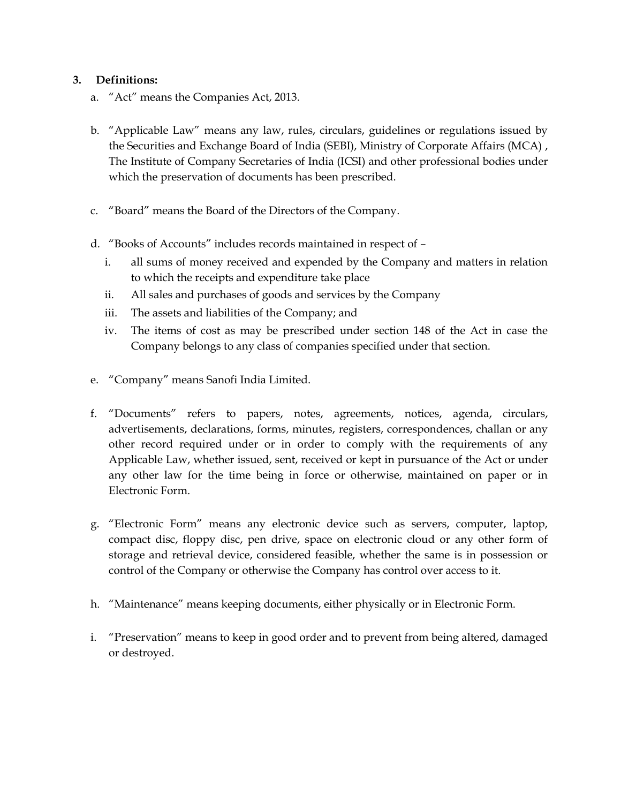### **3. Definitions:**

- a. "Act" means the Companies Act, 2013.
- b. "Applicable Law" means any law, rules, circulars, guidelines or regulations issued by the Securities and Exchange Board of India (SEBI), Ministry of Corporate Affairs (MCA) , The Institute of Company Secretaries of India (ICSI) and other professional bodies under which the preservation of documents has been prescribed.
- c. "Board" means the Board of the Directors of the Company.
- d. "Books of Accounts" includes records maintained in respect of
	- i. all sums of money received and expended by the Company and matters in relation to which the receipts and expenditure take place
	- ii. All sales and purchases of goods and services by the Company
	- iii. The assets and liabilities of the Company; and
	- iv. The items of cost as may be prescribed under section 148 of the Act in case the Company belongs to any class of companies specified under that section.
- e. "Company" means Sanofi India Limited.
- f. "Documents" refers to papers, notes, agreements, notices, agenda, circulars, advertisements, declarations, forms, minutes, registers, correspondences, challan or any other record required under or in order to comply with the requirements of any Applicable Law, whether issued, sent, received or kept in pursuance of the Act or under any other law for the time being in force or otherwise, maintained on paper or in Electronic Form.
- g. "Electronic Form" means any electronic device such as servers, computer, laptop, compact disc, floppy disc, pen drive, space on electronic cloud or any other form of storage and retrieval device, considered feasible, whether the same is in possession or control of the Company or otherwise the Company has control over access to it.
- h. "Maintenance" means keeping documents, either physically or in Electronic Form.
- i. "Preservation" means to keep in good order and to prevent from being altered, damaged or destroyed.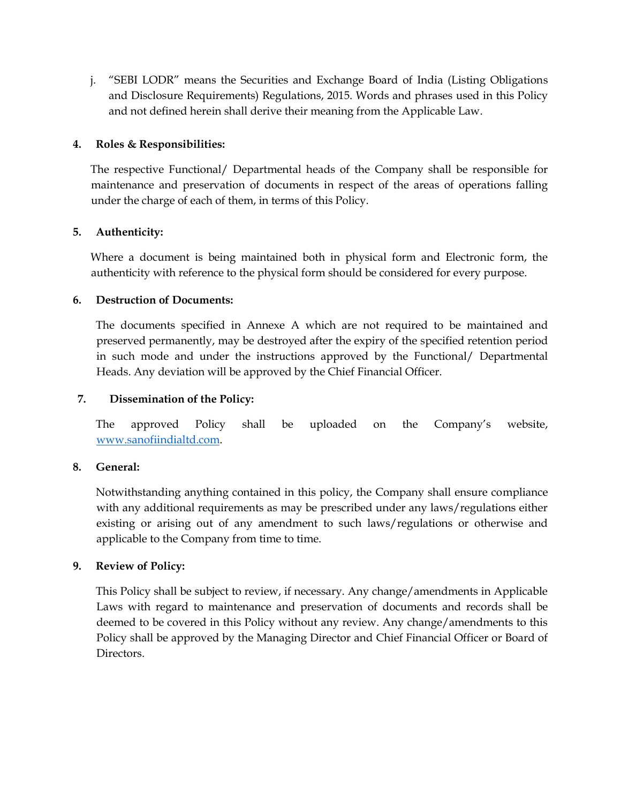j. "SEBI LODR" means the Securities and Exchange Board of India (Listing Obligations and Disclosure Requirements) Regulations, 2015. Words and phrases used in this Policy and not defined herein shall derive their meaning from the Applicable Law.

### **4. Roles & Responsibilities:**

The respective Functional/ Departmental heads of the Company shall be responsible for maintenance and preservation of documents in respect of the areas of operations falling under the charge of each of them, in terms of this Policy.

# **5. Authenticity:**

Where a document is being maintained both in physical form and Electronic form, the authenticity with reference to the physical form should be considered for every purpose.

#### **6. Destruction of Documents:**

The documents specified in Annexe A which are not required to be maintained and preserved permanently, may be destroyed after the expiry of the specified retention period in such mode and under the instructions approved by the Functional/ Departmental Heads. Any deviation will be approved by the Chief Financial Officer.

### **7. Dissemination of the Policy:**

The approved Policy shall be uploaded on the Company's website, [www.sanofiindialtd.com.](http://www.sanofiindialtd.com/)

#### **8. General:**

Notwithstanding anything contained in this policy, the Company shall ensure compliance with any additional requirements as may be prescribed under any laws/regulations either existing or arising out of any amendment to such laws/regulations or otherwise and applicable to the Company from time to time.

# **9. Review of Policy:**

This Policy shall be subject to review, if necessary. Any change/amendments in Applicable Laws with regard to maintenance and preservation of documents and records shall be deemed to be covered in this Policy without any review. Any change/amendments to this Policy shall be approved by the Managing Director and Chief Financial Officer or Board of Directors.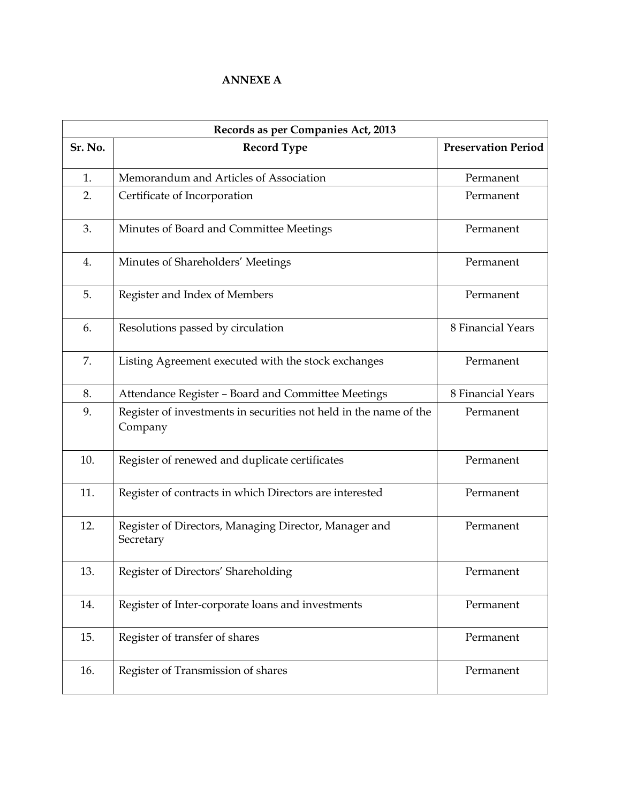### **ANNEXE A**

| Records as per Companies Act, 2013 |                                                                              |                            |  |  |
|------------------------------------|------------------------------------------------------------------------------|----------------------------|--|--|
| Sr. No.                            | <b>Record Type</b>                                                           | <b>Preservation Period</b> |  |  |
| 1.                                 | Memorandum and Articles of Association                                       | Permanent                  |  |  |
| 2.                                 | Certificate of Incorporation                                                 | Permanent                  |  |  |
| 3.                                 | Minutes of Board and Committee Meetings                                      | Permanent                  |  |  |
| 4.                                 | Minutes of Shareholders' Meetings                                            | Permanent                  |  |  |
| 5.                                 | Register and Index of Members                                                | Permanent                  |  |  |
| 6.                                 | Resolutions passed by circulation                                            | 8 Financial Years          |  |  |
| 7.                                 | Listing Agreement executed with the stock exchanges                          | Permanent                  |  |  |
| 8.                                 | Attendance Register - Board and Committee Meetings                           | 8 Financial Years          |  |  |
| 9.                                 | Register of investments in securities not held in the name of the<br>Company | Permanent                  |  |  |
| 10.                                | Register of renewed and duplicate certificates                               | Permanent                  |  |  |
| 11.                                | Register of contracts in which Directors are interested                      | Permanent                  |  |  |
| 12.                                | Register of Directors, Managing Director, Manager and<br>Secretary           | Permanent                  |  |  |
| 13.                                | Register of Directors' Shareholding                                          | Permanent                  |  |  |
| 14.                                | Register of Inter-corporate loans and investments                            | Permanent                  |  |  |
| 15.                                | Register of transfer of shares                                               | Permanent                  |  |  |
| 16.                                | Register of Transmission of shares                                           | Permanent                  |  |  |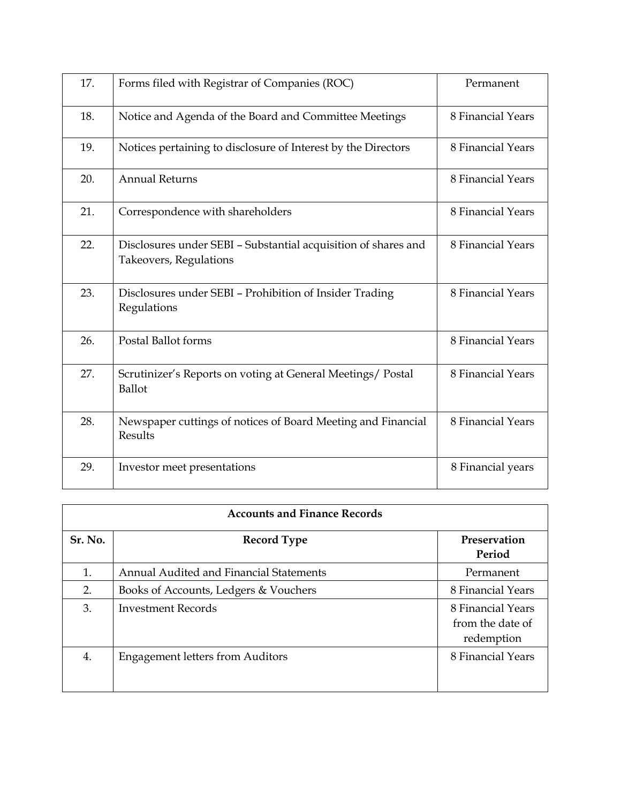| 17. | Forms filed with Registrar of Companies (ROC)                                            | Permanent         |
|-----|------------------------------------------------------------------------------------------|-------------------|
| 18. | Notice and Agenda of the Board and Committee Meetings                                    | 8 Financial Years |
| 19. | Notices pertaining to disclosure of Interest by the Directors                            | 8 Financial Years |
| 20. | <b>Annual Returns</b>                                                                    | 8 Financial Years |
| 21. | Correspondence with shareholders                                                         | 8 Financial Years |
| 22. | Disclosures under SEBI - Substantial acquisition of shares and<br>Takeovers, Regulations | 8 Financial Years |
| 23. | Disclosures under SEBI - Prohibition of Insider Trading<br>Regulations                   | 8 Financial Years |
| 26. | Postal Ballot forms                                                                      | 8 Financial Years |
| 27. | Scrutinizer's Reports on voting at General Meetings/ Postal<br>Ballot                    | 8 Financial Years |
| 28. | Newspaper cuttings of notices of Board Meeting and Financial<br>Results                  | 8 Financial Years |
| 29. | Investor meet presentations                                                              | 8 Financial years |

| <b>Accounts and Finance Records</b> |                                         |                                                     |  |  |
|-------------------------------------|-----------------------------------------|-----------------------------------------------------|--|--|
| Sr. No.                             | <b>Record Type</b>                      | Preservation<br>Period                              |  |  |
| 1.                                  | Annual Audited and Financial Statements | Permanent                                           |  |  |
| 2.                                  | Books of Accounts, Ledgers & Vouchers   | 8 Financial Years                                   |  |  |
| 3.                                  | <b>Investment Records</b>               | 8 Financial Years<br>from the date of<br>redemption |  |  |
| 4.                                  | <b>Engagement letters from Auditors</b> | 8 Financial Years                                   |  |  |